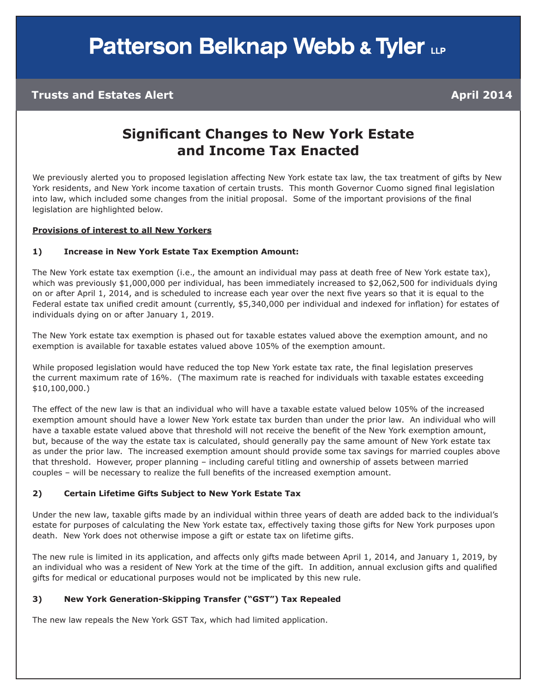# **Patterson Belknap Webb & Tyler LLP**

#### **Trusts and Estates Alert April 2014**

### **Significant Changes to New York Estate and Income Tax Enacted**

We previously alerted you to proposed legislation affecting New York estate tax law, the tax treatment of gifts by New York residents, and New York income taxation of certain trusts. This month Governor Cuomo signed final legislation into law, which included some changes from the initial proposal. Some of the important provisions of the final legislation are highlighted below.

#### **Provisions of interest to all New Yorkers**

#### **1) Increase in New York Estate Tax Exemption Amount:**

The New York estate tax exemption (i.e., the amount an individual may pass at death free of New York estate tax), which was previously \$1,000,000 per individual, has been immediately increased to \$2,062,500 for individuals dying on or after April 1, 2014, and is scheduled to increase each year over the next five years so that it is equal to the Federal estate tax unified credit amount (currently, \$5,340,000 per individual and indexed for inflation) for estates of individuals dying on or after January 1, 2019.

The New York estate tax exemption is phased out for taxable estates valued above the exemption amount, and no exemption is available for taxable estates valued above 105% of the exemption amount.

While proposed legislation would have reduced the top New York estate tax rate, the final legislation preserves the current maximum rate of 16%. (The maximum rate is reached for individuals with taxable estates exceeding \$10,100,000.)

The effect of the new law is that an individual who will have a taxable estate valued below 105% of the increased exemption amount should have a lower New York estate tax burden than under the prior law. An individual who will have a taxable estate valued above that threshold will not receive the benefit of the New York exemption amount, but, because of the way the estate tax is calculated, should generally pay the same amount of New York estate tax as under the prior law. The increased exemption amount should provide some tax savings for married couples above that threshold. However, proper planning – including careful titling and ownership of assets between married couples – will be necessary to realize the full benefits of the increased exemption amount.

#### **2) Certain Lifetime Gifts Subject to New York Estate Tax**

Under the new law, taxable gifts made by an individual within three years of death are added back to the individual's estate for purposes of calculating the New York estate tax, effectively taxing those gifts for New York purposes upon death. New York does not otherwise impose a gift or estate tax on lifetime gifts.

The new rule is limited in its application, and affects only gifts made between April 1, 2014, and January 1, 2019, by an individual who was a resident of New York at the time of the gift. In addition, annual exclusion gifts and qualified gifts for medical or educational purposes would not be implicated by this new rule.

#### **3) New York Generation-Skipping Transfer ("GST") Tax Repealed**

The new law repeals the New York GST Tax, which had limited application.